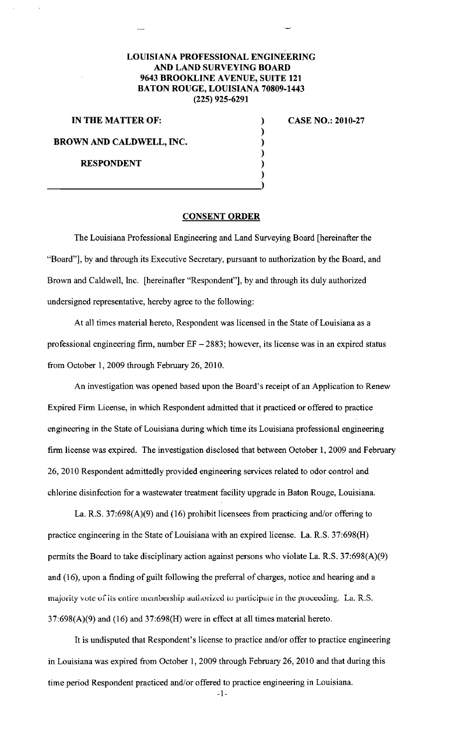## **LOUISIANA PROFESSIONAL ENGINEERING AND LAND SURVEYING BOARD 9643 BROOKLINE AVENUE, SUITE 121 BATON ROUGE, LOUISIANA 70809-1443 (225) 925-6291**

) ) ) ) ) )

**IN THE MATTER OF:** 

**BROWN AND CALDWELL, INC.** 

**RESPONDENT** 

**CASE NO.: 2010-27** 

## **CONSENT ORDER**

The Louisiana Professional Engineering and Land Surveying Board [hereinafter the "Board"], by and through its Executive Secretary, pursuant to authorization by the Board, and Brown and Caldwell, Inc. [hereinafter "Respondent"], by and through its duly authorized undersigned representative, hereby agree to the following:

At all times material hereto, Respondent was licensed in the State of Louisiana as a professional engineering firm, number  $EF - 2883$ ; however, its license was in an expired status from October I, 2009 through February 26,2010.

An investigation was opened based upon the Board's receipt of an Application to Renew Expired Firm License, in which Respondent admitted that it practiced or offered to practice engineering in the State of Louisiana during which time its Louisiana professional engineering firm license was expired. The investigation disclosed that between October I, 2009 and February 26, 2010 Respondent admittedly provided engineering services related to odor control and chlorine disinfection for a wastewater treatment facility upgrade in Baton Rouge, Louisiana.

La. R.S. 37:698(A)(9) and (16) prohibit licensees from practicing and/or offering to practice engineering in the State of Louisiana with an expired license. La. R.S. 37:698(H) permits the Board to take disciplinary action against persons who violate La. R.S. 37:698(A)(9) and (16), upon a finding of guilt following the preferral of charges, notice and hearing and a majority vote of its entire membership authorized to participate in the proceeding. La. R.S.  $37:698(A)(9)$  and  $(16)$  and  $37:698(H)$  were in effect at all times material hereto.

It is undisputed that Respondent's license to practice and/or offer to practice engineering in Louisiana was expired from October I, 2009 through February 26,2010 and that during this time period Respondent practiced and/or offered to practice engineering in Louisiana.

-I-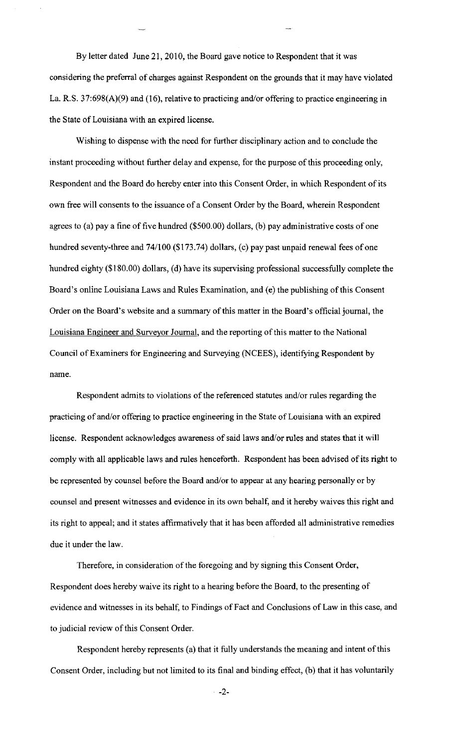By letter dated June 21, 2010, the Board gave notice to Respondent that it was considering the preferral of charges against Respondent on the grounds that it may have violated La. R.S. 37:698(A)(9) and (16), relative to practicing and/or offering to practice engineering in the State of Louisiana with an expired license.

Wishing to dispense with the need for further disciplinary action and to conclude the instant proceeding without further delay and expense, for the purpose of this proceeding only, Respondent and the Board do hereby enter into this Consent Order, in which Respondent of its own free will consents to the issuance of a Consent Order by the Board, wherein Respondent agrees to (a) pay a fine of five hundred (\$500.00) dollars, (b) pay administrative costs of one hundred seventy-three and 74/100 (\$173.74) dollars, (c) pay past unpaid renewal fees of one hundred eighty (\$180.00) dollars, (d) have its supervising professional successfully complete the Board's online Louisiana Laws and Rules Examination, and (e) the publishing of this Consent Order on the Board's website and a summary of this matter in the Board's official journal, the Louisiana Engineer and Surveyor Journal, and the reporting of this matter to the National Council of Examiners for Engineering and Surveying (NCEES), identifying Respondent by name.

Respondent admits to violations of the referenced statutes and/or rules regarding the practicing of and/or offering to practice engineering in the State of Louisiana with an expired license. Respondent acknowledges awareness of said laws and/or rules and states that it will comply with all applicable laws and rules henceforth. Respondent has been advised of its right to be represented by counsel before the Board and/or to appear at any hearing personally or by counsel and present witnesses and evidence in its own behalf, and it hereby waives this right and its right to appeal; and it states affirmatively that it has been afforded all administrative remedies due it under the law.

Therefore, in consideration of the foregoing and by signing this Consent Order, Respondent does hereby waive its right to a hearing before the Board, to the presenting of evidence and witnesses in its behalf, to Findings of Fact and Conclusions of Law in this case, and to judicial review of this Consent Order.

Respondent hereby represents (a) that it fully understands the meaning and intent of this Consent Order, including but not limited to its final and binding effect, (b) that it has voluntarily

-2-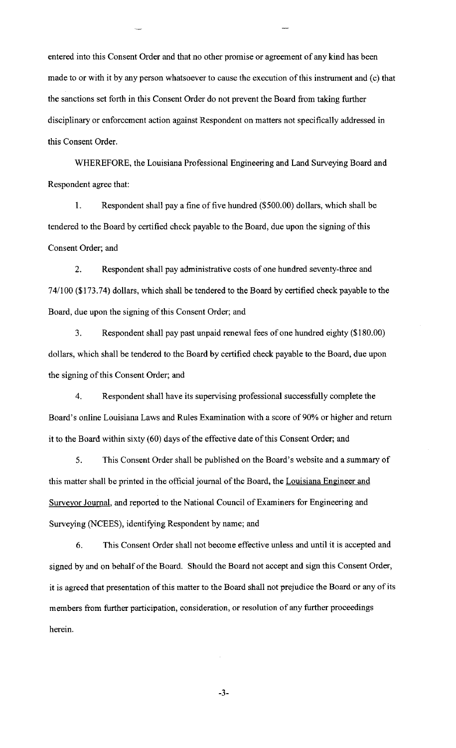entered into this Consent Order and that no other promise or agreement of any kind has been made to or with it by any person whatsoever to cause the execution of this instrument and (c) that the sanctions set forth in this Consent Order do not prevent the Board from taking further disciplinary or enforcement action against Respondent on matters not specifically addressed in this Consent Order.

WHEREFORE, the Louisiana Professional Engineering and Land Surveying Board and Respondent agree that:

I. Respondent shall pay a fine of five hundred (\$500.00) dollars, which shall be tendered to the Board by certified check payable to the Board, due upon the signing of this Consent Order; and

2. Respondent shall pay administrative costs of one hundred seventy-three and 74/100 (\$173.74) dollars, which shall be tendered to the Board by certified check payable to the Board, due upon the signing of this Consent Order; and

3. Respondent shall pay past unpaid renewal fees of one hundred eighty (\$180.00) dollars, which shall be tendered to the Board by certified check payable to the Board, due upon the signing of this Consent Order; and

4. Respondent shall have its supervising professional successfully complete the Board's online Louisiana Laws and Rules Examination with a score of 90% or higher and return it to the Board within sixty (60) days of the effective date of this Consent Order; and

5. This Consent Order shall be published on the Board's website and a summary of this matter shall be printed in the official journal of the Board, the Louisiana Engineer and Surveyor Journal, and reported to the National Council of Examiners for Engineering and Surveying (NCEES), identifying Respondent by name; and

6. This Consent Order shall not become effective unless and until it is accepted and signed by and on behalf of the Board. Should the Board not accept and sign this Consent Order, it is agreed that presentation of this matter to the Board shall not prejudice the Board or any of its members from further participation, consideration, or resolution of any further proceedings herein.

-3-